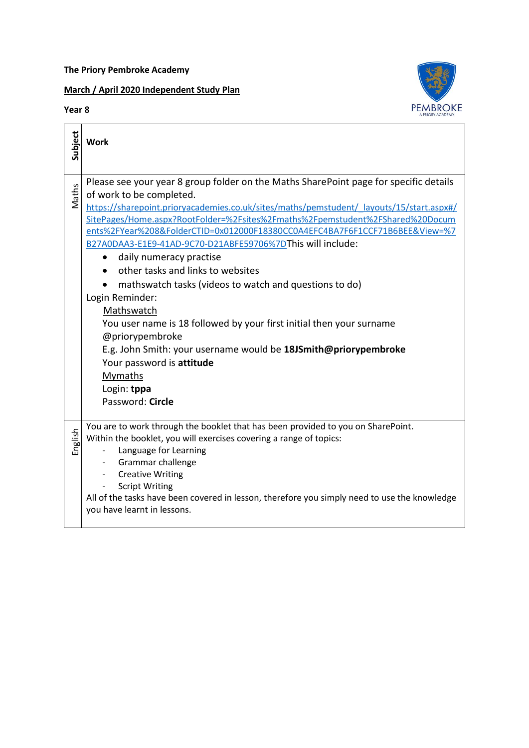**The Priory Pembroke Academy** 

## **March / April 2020 Independent Study Plan**

## **Year 8**

**Subject**

Maths

English



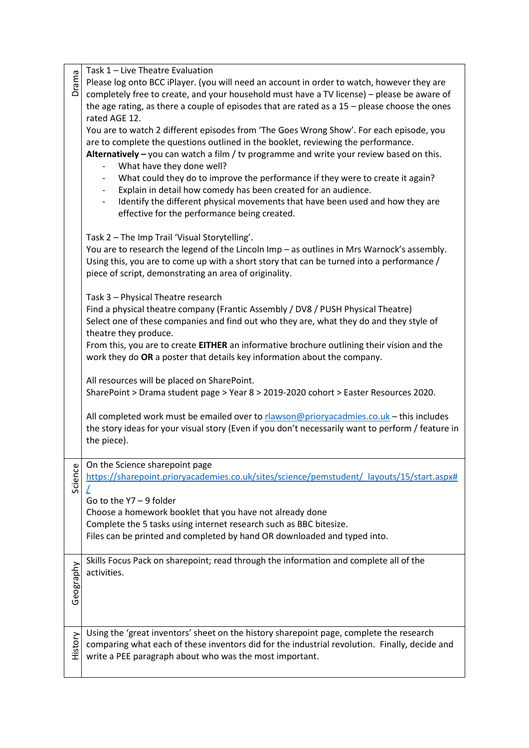|           | Task 1 - Live Theatre Evaluation                                                                           |
|-----------|------------------------------------------------------------------------------------------------------------|
| Drama     | Please log onto BCC iPlayer. (you will need an account in order to watch, however they are                 |
|           | completely free to create, and your household must have a TV license) - please be aware of                 |
|           | the age rating, as there a couple of episodes that are rated as a $15 -$ please choose the ones            |
|           | rated AGE 12.                                                                                              |
|           | You are to watch 2 different episodes from 'The Goes Wrong Show'. For each episode, you                    |
|           | are to complete the questions outlined in the booklet, reviewing the performance.                          |
|           | Alternatively $-$ you can watch a film / tv programme and write your review based on this.                 |
|           | What have they done well?                                                                                  |
|           | What could they do to improve the performance if they were to create it again?<br>$\overline{\phantom{a}}$ |
|           | Explain in detail how comedy has been created for an audience.<br>$\overline{\phantom{0}}$                 |
|           | Identify the different physical movements that have been used and how they are<br>$\overline{\phantom{0}}$ |
|           | effective for the performance being created.                                                               |
|           |                                                                                                            |
|           | Task 2 - The Imp Trail 'Visual Storytelling'.                                                              |
|           | You are to research the legend of the Lincoln Imp - as outlines in Mrs Warnock's assembly.                 |
|           | Using this, you are to come up with a short story that can be turned into a performance /                  |
|           | piece of script, demonstrating an area of originality.                                                     |
|           |                                                                                                            |
|           | Task 3 - Physical Theatre research                                                                         |
|           | Find a physical theatre company (Frantic Assembly / DV8 / PUSH Physical Theatre)                           |
|           | Select one of these companies and find out who they are, what they do and they style of                    |
|           | theatre they produce.                                                                                      |
|           | From this, you are to create EITHER an informative brochure outlining their vision and the                 |
|           | work they do OR a poster that details key information about the company.                                   |
|           |                                                                                                            |
|           | All resources will be placed on SharePoint.                                                                |
|           | SharePoint > Drama student page > Year 8 > 2019-2020 cohort > Easter Resources 2020.                       |
|           |                                                                                                            |
|           | All completed work must be emailed over to rlawson@prioryacadmies.co.uk - this includes                    |
|           | the story ideas for your visual story (Even if you don't necessarily want to perform / feature in          |
|           | the piece).                                                                                                |
|           |                                                                                                            |
|           | On the Science sharepoint page                                                                             |
| Science   | https://sharepoint.prioryacademies.co.uk/sites/science/pemstudent/ layouts/15/start.aspx#                  |
|           |                                                                                                            |
|           | Go to the Y7 - 9 folder                                                                                    |
|           | Choose a homework booklet that you have not already done                                                   |
|           | Complete the 5 tasks using internet research such as BBC bitesize.                                         |
|           | Files can be printed and completed by hand OR downloaded and typed into.                                   |
|           |                                                                                                            |
|           | Skills Focus Pack on sharepoint; read through the information and complete all of the                      |
|           | activities.                                                                                                |
|           |                                                                                                            |
| Geography |                                                                                                            |
|           |                                                                                                            |
|           |                                                                                                            |
|           | Using the 'great inventors' sheet on the history sharepoint page, complete the research                    |
| History   | comparing what each of these inventors did for the industrial revolution. Finally, decide and              |
|           | write a PEE paragraph about who was the most important.                                                    |
|           |                                                                                                            |
|           |                                                                                                            |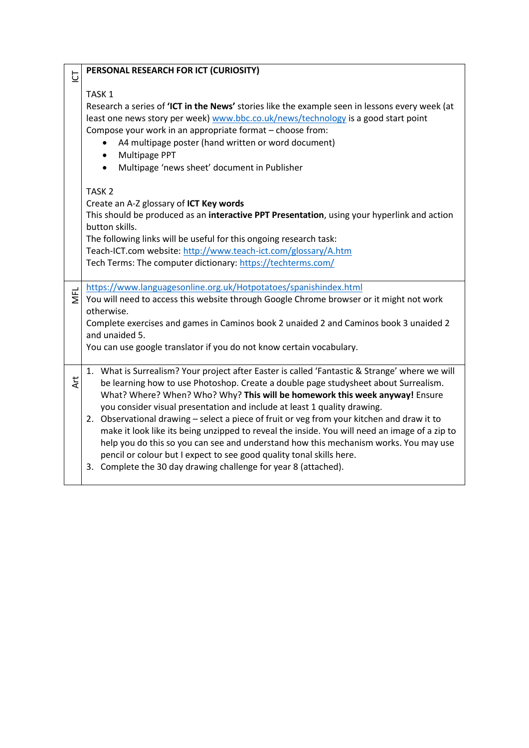| $\overline{\cup}$ | PERSONAL RESEARCH FOR ICT (CURIOSITY)                                                                                                   |
|-------------------|-----------------------------------------------------------------------------------------------------------------------------------------|
|                   | TASK <sub>1</sub>                                                                                                                       |
|                   | Research a series of 'ICT in the News' stories like the example seen in lessons every week (at                                          |
|                   |                                                                                                                                         |
|                   | least one news story per week) www.bbc.co.uk/news/technology is a good start point                                                      |
|                   | Compose your work in an appropriate format - choose from:                                                                               |
|                   | A4 multipage poster (hand written or word document)                                                                                     |
|                   | Multipage PPT<br>$\bullet$                                                                                                              |
|                   | Multipage 'news sheet' document in Publisher                                                                                            |
|                   | TASK <sub>2</sub>                                                                                                                       |
|                   | Create an A-Z glossary of ICT Key words                                                                                                 |
|                   | This should be produced as an interactive PPT Presentation, using your hyperlink and action                                             |
|                   | button skills.                                                                                                                          |
|                   | The following links will be useful for this ongoing research task:                                                                      |
|                   | Teach-ICT.com website: http://www.teach-ict.com/glossary/A.htm                                                                          |
|                   | Tech Terms: The computer dictionary: https://techterms.com/                                                                             |
|                   |                                                                                                                                         |
|                   | https://www.languagesonline.org.uk/Hotpotatoes/spanishindex.html                                                                        |
| <b>NFL</b>        | You will need to access this website through Google Chrome browser or it might not work                                                 |
|                   | otherwise.                                                                                                                              |
|                   | Complete exercises and games in Caminos book 2 unaided 2 and Caminos book 3 unaided 2                                                   |
|                   | and unaided 5.                                                                                                                          |
|                   | You can use google translator if you do not know certain vocabulary.                                                                    |
|                   |                                                                                                                                         |
|                   | 1. What is Surrealism? Your project after Easter is called 'Fantastic & Strange' where we will                                          |
| <b>Art</b>        | be learning how to use Photoshop. Create a double page studysheet about Surrealism.                                                     |
|                   | What? Where? When? Who? Why? This will be homework this week anyway! Ensure                                                             |
|                   | you consider visual presentation and include at least 1 quality drawing.                                                                |
|                   | 2. Observational drawing - select a piece of fruit or veg from your kitchen and draw it to                                              |
|                   |                                                                                                                                         |
|                   |                                                                                                                                         |
|                   | make it look like its being unzipped to reveal the inside. You will need an image of a zip to                                           |
|                   | help you do this so you can see and understand how this mechanism works. You may use                                                    |
|                   | pencil or colour but I expect to see good quality tonal skills here.<br>3. Complete the 30 day drawing challenge for year 8 (attached). |